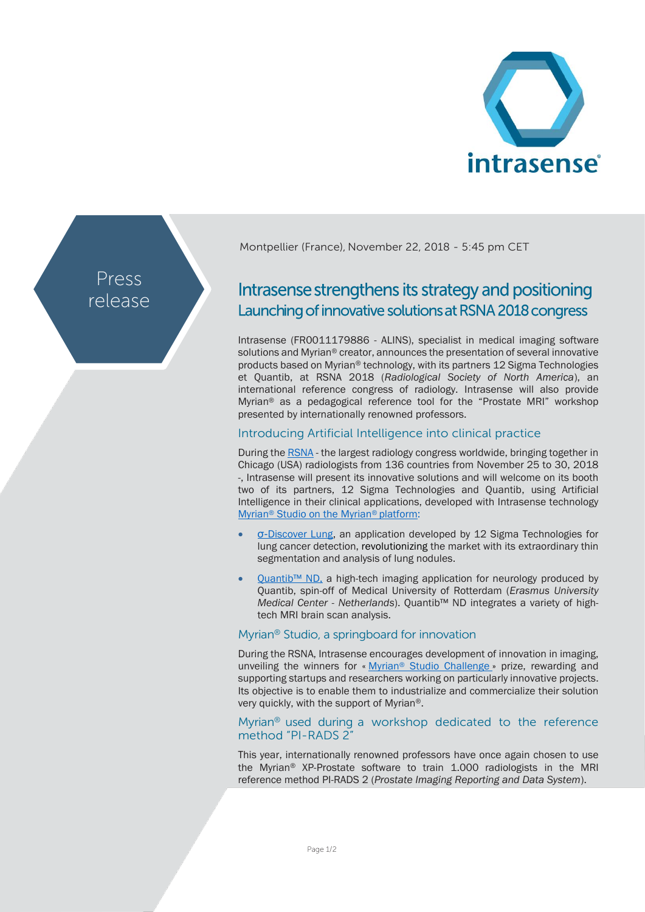

Press release Montpellier (France), November 22, 2018 - 5:45 pm CET

# Intrasense strengthens its strategy and positioning Launching of innovative solutions at RSNA 2018 congress

Intrasense (FR0011179886 - ALINS), specialist in medical imaging software solutions and Myrian® creator, announces the presentation of several innovative products based on Myrian® technology, with its partners 12 Sigma Technologies et Quantib, at RSNA 2018 (*Radiological Society of North America*), an international reference congress of radiology. Intrasense will also provide Myrian® as a pedagogical reference tool for the "Prostate MRI" workshop presented by internationally renowned professors.

# Introducing Artificial Intelligence into clinical practice

During the [RSNA](http://www.rsna.org/) - the largest radiology congress worldwide, bringing together in Chicago (USA) radiologists from 136 countries from November 25 to 30, 2018 -, Intrasense will present its innovative solutions and will welcome on its booth two of its partners, 12 Sigma Technologies and Quantib, using Artificial Intelligence in their clinical applications, developed with Intrasense technology Myrian® [Studio on](http://www.intrasense.fr/wp-content/uploads/2017/09/press-release_Strategy2017-20170928-EN.pdf) the Myrian® platform:

- σ-[Discover Lung,](http://www.12sigma.cn/en/Products/diagnosis/) an application developed by 12 Sigma Technologies for lung cancer detection, revolutionizing the market with its extraordinary thin segmentation and analysis of lung nodules.
- Quantib<sup>™</sup> ND, a high-tech imaging application for neurology produced by Quantib, spin-off of Medical University of Rotterdam (*Erasmus University Medical Center - Netherlands*). Quantib™ ND integrates a variety of hightech MRI brain scan analysis.

## Myrian® Studio, a springboard for innovation

During the RSNA, Intrasense encourages development of innovation in imaging, unveiling the winners for « Myrian<sup>®</sup> [Studio Challenge](http://studio.myrian.fr/challenge/) » prize, rewarding and supporting startups and researchers working on particularly innovative projects. Its objective is to enable them to industrialize and commercialize their solution very quickly, with the support of Myrian®.

#### Myrian® used during a workshop dedicated to the reference method "PI-RADS 2"

This year, internationally renowned professors have once again chosen to use the Myrian® XP-Prostate software to train 1.000 radiologists in the MRI reference method PI-RADS 2 (*Prostate Imaging Reporting and Data System*).